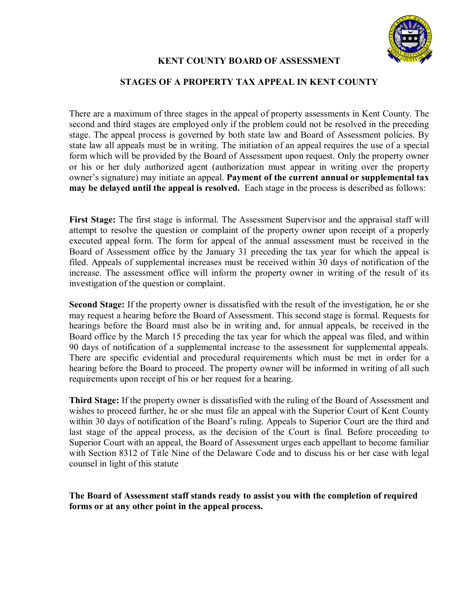

## **KENT COUNTY BOARD OF ASSESSMENT**

## **STAGES OF A PROPERTY TAX APPEAL IN KENT COUNTY**

There are a maximum of three stages in the appeal of property assessments in Kent County. The second and third stages are employed only if the problem could not be resolved in the preceding stage. The appeal process is governed by both state law and Board of Assessment policies. By state law all appeals must be in writing. The initiation of an appeal requires the use of a special form which will be provided by the Board of Assessment upon request. Only the property owner or his or her duly authorized agent (authorization must appear in writing over the property owner's signature) may initiate an appeal. **Payment of the current annual or supplemental tax may be delayed until the appeal is resolved.** Each stage in the process is described as follows:

**First Stage:** The first stage is informal. The Assessment Supervisor and the appraisal staff will attempt to resolve the question or complaint of the property owner upon receipt of a properly executed appeal form. The form for appeal of the annual assessment must be received in the Board of Assessment office by the January 31 preceding the tax year for which the appeal is filed. Appeals of supplemental increases must be received within 30 days of notification of the increase. The assessment office will inform the property owner in writing of the result of its investigation of the question or complaint.

**Second Stage:** If the property owner is dissatisfied with the result of the investigation, he or she may request a hearing before the Board of Assessment. This second stage is formal. Requests for hearings before the Board must also be in writing and, for annual appeals, be received in the Board office by the March 15 preceding the tax year for which the appeal was filed, and within 90 days of notification of a supplemental increase to the assessment for supplemental appeals. There are specific evidential and procedural requirements which must be met in order for a hearing before the Board to proceed. The property owner will be informed in writing of all such requirements upon receipt of his or her request for a hearing.

**Third Stage:** If the property owner is dissatisfied with the ruling of the Board of Assessment and wishes to proceed further, he or she must file an appeal with the Superior Court of Kent County within 30 days of notification of the Board's ruling. Appeals to Superior Court are the third and last stage of the appeal process, as the decision of the Court is final. Before proceeding to Superior Court with an appeal, the Board of Assessment urges each appellant to become familiar with Section 8312 of Title Nine of the Delaware Code and to discuss his or her case with legal counsel in light of this statute

**The Board of Assessment staff stands ready to assist you with the completion of required forms or at any other point in the appeal process.**